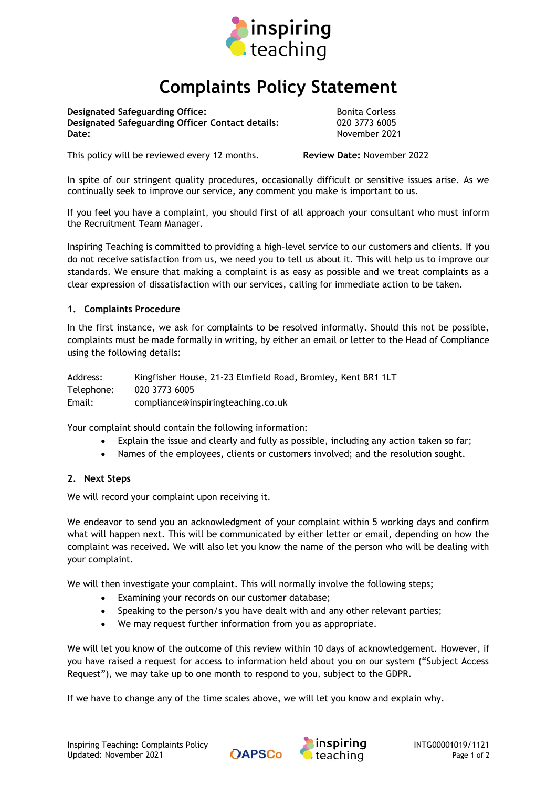

# **Complaints Policy Statement**

**Designated Safeguarding Office:** The Bonita Corless and Bonita Corless **Designated Safeguarding Officer Contact details:** 020 3773 6005 **Date:** November 2021

This policy will be reviewed every 12 months. **Review Date:** November 2022

In spite of our stringent quality procedures, occasionally difficult or sensitive issues arise. As we continually seek to improve our service, any comment you make is important to us.

If you feel you have a complaint, you should first of all approach your consultant who must inform the Recruitment Team Manager.

Inspiring Teaching is committed to providing a high-level service to our customers and clients. If you do not receive satisfaction from us, we need you to tell us about it. This will help us to improve our standards. We ensure that making a complaint is as easy as possible and we treat complaints as a clear expression of dissatisfaction with our services, calling for immediate action to be taken.

## **1. Complaints Procedure**

In the first instance, we ask for complaints to be resolved informally. Should this not be possible, complaints must be made formally in writing, by either an email or letter to the Head of Compliance using the following details:

| Address:   | Kingfisher House, 21-23 Elmfield Road, Bromley, Kent BR1 1LT |
|------------|--------------------------------------------------------------|
| Telephone: | 020 3773 6005                                                |
| Email:     | compliance@inspiringteaching.co.uk                           |

Your complaint should contain the following information:

- Explain the issue and clearly and fully as possible, including any action taken so far;
- Names of the employees, clients or customers involved; and the resolution sought.

## **2. Next Steps**

We will record your complaint upon receiving it.

We endeavor to send you an acknowledgment of your complaint within 5 working days and confirm what will happen next. This will be communicated by either letter or email, depending on how the complaint was received. We will also let you know the name of the person who will be dealing with your complaint.

We will then investigate your complaint. This will normally involve the following steps;

- Examining your records on our customer database;
- Speaking to the person/s you have dealt with and any other relevant parties;
- We may request further information from you as appropriate.

We will let you know of the outcome of this review within 10 days of acknowledgement. However, if you have raised a request for access to information held about you on our system ("Subject Access Request"), we may take up to one month to respond to you, subject to the GDPR.

If we have to change any of the time scales above, we will let you know and explain why.